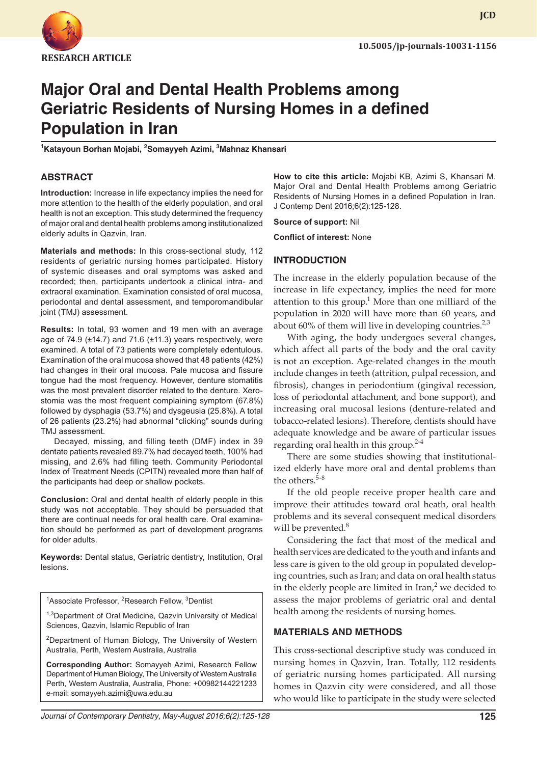

**JCD**

# **Major Oral and Dental Health Problems among Geriatric Residents of Nursing Homes in a defined Population in Iran**

**1 Katayoun Borhan Mojabi, 2 Somayyeh Azimi, 3 Mahnaz Khansari**

#### **ABSTRACT**

**Introduction:** Increase in life expectancy implies the need for more attention to the health of the elderly population, and oral health is not an exception. This study determined the frequency of major oral and dental health problems among institutionalized elderly adults in Qazvin, Iran.

**Materials and methods:** In this cross-sectional study, 112 residents of geriatric nursing homes participated. History of systemic diseases and oral symptoms was asked and recorded; then, participants undertook a clinical intra- and extraoral examination. Examination consisted of oral mucosa, periodontal and dental assessment, and temporomandibular joint (TMJ) assessment.

**Results:** In total, 93 women and 19 men with an average age of 74.9 (±14.7) and 71.6 (±11.3) years respectively, were examined. A total of 73 patients were completely edentulous. Examination of the oral mucosa showed that 48 patients (42%) had changes in their oral mucosa. Pale mucosa and fissure tongue had the most frequency. However, denture stomatitis was the most prevalent disorder related to the denture. Xerostomia was the most frequent complaining symptom (67.8%) followed by dysphagia (53.7%) and dysgeusia (25.8%). A total of 26 patients (23.2%) had abnormal "clicking" sounds during TMJ assessment.

Decayed, missing, and filling teeth (DMF) index in 39 dentate patients revealed 89.7% had decayed teeth, 100% had missing, and 2.6% had filling teeth. Community Periodontal Index of Treatment Needs (CPITN) revealed more than half of the participants had deep or shallow pockets.

**Conclusion:** Oral and dental health of elderly people in this study was not acceptable. They should be persuaded that there are continual needs for oral health care. Oral examination should be performed as part of development programs for older adults.

**Keywords:** Dental status, Geriatric dentistry, Institution, Oral lesions.

<sup>1</sup>Associate Professor, <sup>2</sup>Research Fellow, <sup>3</sup>Dentist

<sup>1,3</sup>Department of Oral Medicine, Qazvin University of Medical Sciences, Qazvin, Islamic Republic of Iran

<sup>2</sup>Department of Human Biology, The University of Western Australia, Perth, Western Australia, Australia

**Corresponding Author:** Somayyeh Azimi, Research Fellow Department of Human Biology, The University of Western Australia Perth, Western Australia, Australia, Phone: +00982144221233 e-mail: somayyeh.azimi@uwa.edu.au

**How to cite this article:** Mojabi KB, Azimi S, Khansari M. Major Oral and Dental Health Problems among Geriatric Residents of Nursing Homes in a defined Population in Iran. J Contemp Dent 2016;6(2):125-128.

**Source of support:** Nil

**Conflict of interest:** None

#### **INTRODUCTION**

The increase in the elderly population because of the increase in life expectancy, implies the need for more attention to this group.<sup>1</sup> More than one milliard of the population in 2020 will have more than 60 years, and about 60% of them will live in developing countries.<sup>2,3</sup>

With aging, the body undergoes several changes, which affect all parts of the body and the oral cavity is not an exception. Age-related changes in the mouth include changes in teeth (attrition, pulpal recession, and fibrosis), changes in periodontium (gingival recession, loss of periodontal attachment, and bone support), and increasing oral mucosal lesions (denture-related and tobacco-related lesions). Therefore, dentists should have adequate knowledge and be aware of particular issues regarding oral health in this group.<sup>2-4</sup>

There are some studies showing that institutionalized elderly have more oral and dental problems than the others.<sup>5-8</sup>

If the old people receive proper health care and improve their attitudes toward oral heath, oral health problems and its several consequent medical disorders will be prevented.<sup>8</sup>

Considering the fact that most of the medical and health services are dedicated to the youth and infants and less care is given to the old group in populated developing countries, such as Iran; and data on oral health status in the elderly people are limited in Iran, $<sup>2</sup>$  we decided to</sup> assess the major problems of geriatric oral and dental health among the residents of nursing homes.

### **MATERIALS AND METHODS**

This cross-sectional descriptive study was conduced in nursing homes in Qazvin, Iran. Totally, 112 residents of geriatric nursing homes participated. All nursing homes in Qazvin city were considered, and all those who would like to participate in the study were selected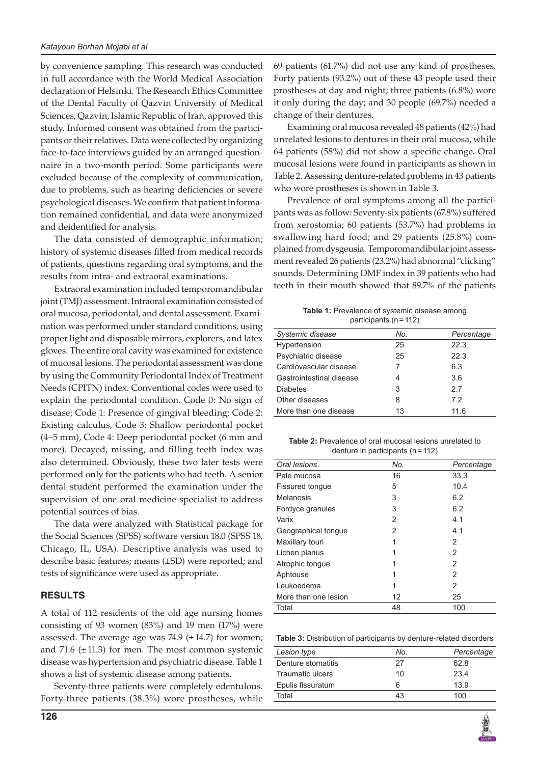by convenience sampling. This research was conducted in full accordance with the World Medical Association declaration of Helsinki. The Research Ethics Committee of the Dental Faculty of Qazvin University of Medical Sciences, Qazvin, Islamic Republic of Iran, approved this study. Informed consent was obtained from the participants or their relatives. Data were collected by organizing face-to-face interviews guided by an arranged questionnaire in a two-month period. Some participants were excluded because of the complexity of communication, due to problems, such as hearing deficiencies or severe psychological diseases. We confirm that patient information remained confidential, and data were anonymized and deidentified for analysis.

The data consisted of demographic information; history of systemic diseases filled from medical records of patients, questions regarding oral symptoms, and the results from intra- and extraoral examinations.

Extraoral examination included temporomandibular joint (TMJ) assessment. Intraoral examination consisted of oral mucosa, periodontal, and dental assessment. Examination was performed under standard conditions, using proper light and disposable mirrors, explorers, and latex gloves. The entire oral cavity was examined for existence of mucosal lesions. The periodontal assessment was done by using the Community Periodontal Index of Treatment Needs (CPITN) index. Conventional codes were used to explain the periodontal condition. Code 0: No sign of disease; Code 1: Presence of gingival bleeding; Code 2: Existing calculus, Code 3: Shallow periodontal pocket (4–5 mm), Code 4: Deep periodontal pocket (6 mm and more). Decayed, missing, and filling teeth index was also determined. Obviously, these two later tests were performed only for the patients who had teeth. A senior dental student performed the examination under the supervision of one oral medicine specialist to address potential sources of bias.

The data were analyzed with Statistical package for the Social Sciences (SPSS) software version 18.0 (SPSS 18, Chicago, IL, USA). Descriptive analysis was used to describe basic features; means (±SD) were reported; and tests of significance were used as appropriate.

### **RESULTS**

A total of 112 residents of the old age nursing homes consisting of 93 women (83%) and 19 men (17%) were assessed. The average age was  $74.9$  ( $\pm$  14.7) for women; and 71.6  $(\pm 11.3)$  for men. The most common systemic disease was hypertension and psychiatric disease. Table 1 shows a list of systemic disease among patients.

Seventy-three patients were completely edentulous. Forty-three patients (38.3%) wore prostheses, while 69 patients (61.7%) did not use any kind of prostheses. Forty patients (93.2%) out of these 43 people used their prostheses at day and night; three patients (6.8%) wore it only during the day; and 30 people (69.7%) needed a change of their dentures.

Examining oral mucosa revealed 48 patients (42%) had unrelated lesions to dentures in their oral mucosa, while 64 patients (58%) did not show a specific change. Oral mucosal lesions were found in participants as shown in Table 2. Assessing denture-related problems in 43 patients who wore prostheses is shown in Table 3.

Prevalence of oral symptoms among all the participants was as follow: Seventy-six patients (67.8%) suffered from xerostomia; 60 patients (53.7%) had problems in swallowing hard food; and 29 patients (25.8%) complained from dysgeusia. Temporomandibular joint assessment revealed 26 patients (23.2%) had abnormal "clicking" sounds. Determining DMF index in 39 patients who had teeth in their mouth showed that 89.7% of the patients

**Table 1:** Prevalence of systemic disease among participants (n=112)

| Systemic disease         | No. | Percentage |
|--------------------------|-----|------------|
| Hypertension             | 25  | 22.3       |
| Psychiatric disease      | 25  | 22.3       |
| Cardiovascular disease   |     | 6.3        |
| Gastrointestinal disease | 4   | 3.6        |
| <b>Diabetes</b>          | 3   | 27         |
| Other diseases           | 8   | 7.2        |
| More than one disease    | 13  | 11.6       |

**Table 2:** Prevalence of oral mucosal lesions unrelated to denture in participants (n=112)

| No. | Percentage |
|-----|------------|
| 16  | 33.3       |
| 5   | 10.4       |
| 3   | 6.2        |
| 3   | 6.2        |
| 2   | 4.1        |
| 2   | 4.1        |
| 1   | 2          |
|     | 2          |
| 1   | 2          |
| 1   | 2          |
| 1   | 2          |
| 12  | 25         |
| 48  | 100        |
|     |            |

**Table 3:** Distribution of participants by denture-related disorders

| Lesion type        | No. | Percentage |
|--------------------|-----|------------|
| Denture stomatitis | 27  | 62.8       |
| Traumatic ulcers   | 10  | 23.4       |
| Epulis fissuratum  | 6   | 13.9       |
| Total              | 43  | 100        |
|                    |     |            |

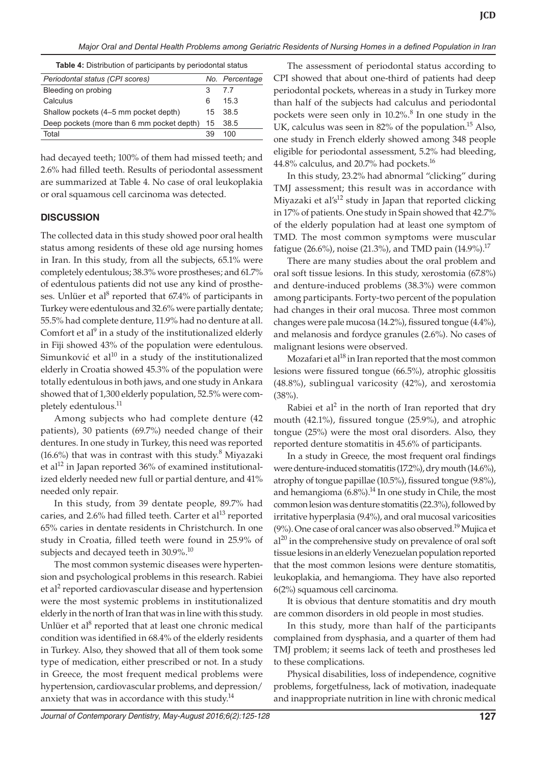#### *Major Oral and Dental Health Problems among Geriatric Residents of Nursing Homes in a defined Population in Iran*

**Table 4:** Distribution of participants by periodontal status

| Periodontal status (CPI scores)            |    | No. Percentage |
|--------------------------------------------|----|----------------|
| Bleeding on probing                        | 3  | 7.7            |
| Calculus                                   | 6  | 15.3           |
| Shallow pockets (4–5 mm pocket depth)      |    | 15 38.5        |
| Deep pockets (more than 6 mm pocket depth) |    | 15 38.5        |
| Total                                      | 39 | 100            |
|                                            |    |                |

had decayed teeth; 100% of them had missed teeth; and 2.6% had filled teeth. Results of periodontal assessment are summarized at Table 4. No case of oral leukoplakia or oral squamous cell carcinoma was detected.

# **DISCUSSION**

The collected data in this study showed poor oral health status among residents of these old age nursing homes in Iran. In this study, from all the subjects, 65.1% were completely edentulous; 38.3% wore prostheses; and 61.7% of edentulous patients did not use any kind of prostheses. Unlüer et al<sup>8</sup> reported that  $67.4\%$  of participants in Turkey were edentulous and 32.6% were partially dentate; 55.5% had complete denture, 11.9% had no denture at all. Comfort et al<sup>9</sup> in a study of the institutionalized elderly in Fiji showed 43% of the population were edentulous. Simunković et al $1^{10}$  in a study of the institutionalized elderly in Croatia showed 45.3% of the population were totally edentulous in both jaws, and one study in Ankara showed that of 1,300 elderly population, 52.5% were completely edentulous.<sup>11</sup>

Among subjects who had complete denture (42 patients), 30 patients (69.7%) needed change of their dentures. In one study in Turkey, this need was reported  $(16.6%)$  that was in contrast with this study.<sup>8</sup> Miyazaki et al<sup>12</sup> in Japan reported 36% of examined institutionalized elderly needed new full or partial denture, and 41% needed only repair.

In this study, from 39 dentate people, 89.7% had caries, and 2.6% had filled teeth. Carter et al<sup>13</sup> reported 65% caries in dentate residents in Christchurch. In one study in Croatia, filled teeth were found in 25.9% of subjects and decayed teeth in 30.9%.<sup>10</sup>

The most common systemic diseases were hypertension and psychological problems in this research. Rabiei et al<sup>2</sup> reported cardiovascular disease and hypertension were the most systemic problems in institutionalized elderly in the north of Iran that was in line with this study. Unlüer et al<sup>8</sup> reported that at least one chronic medical condition was identified in 68.4% of the elderly residents in Turkey. Also, they showed that all of them took some type of medication, either prescribed or not. In a study in Greece, the most frequent medical problems were hypertension, cardiovascular problems, and depression/ anxiety that was in accordance with this study. $14$ 

The assessment of periodontal status according to CPI showed that about one-third of patients had deep periodontal pockets, whereas in a study in Turkey more than half of the subjects had calculus and periodontal pockets were seen only in 10.2%.<sup>8</sup> In one study in the UK, calculus was seen in  $82\%$  of the population.<sup>15</sup> Also, one study in French elderly showed among 348 people eligible for periodontal assessment, 5.2% had bleeding,  $44.8\%$  calculus, and 20.7% had pockets.<sup>16</sup>

In this study, 23.2% had abnormal "clicking" during TMJ assessment; this result was in accordance with Miyazaki et al's<sup>12</sup> study in Japan that reported clicking in 17% of patients. One study in Spain showed that 42.7% of the elderly population had at least one symptom of TMD. The most common symptoms were muscular fatigue (26.6%), noise (21.3%), and TMD pain (14.9%).<sup>17</sup>

There are many studies about the oral problem and oral soft tissue lesions. In this study, xerostomia (67.8%) and denture-induced problems (38.3%) were common among participants. Forty-two percent of the population had changes in their oral mucosa. Three most common changes were pale mucosa (14.2%), fissured tongue (4.4%), and melanosis and fordyce granules (2.6%). No cases of malignant lesions were observed.

Mozafari et al $^{18}$  in Iran reported that the most common lesions were fissured tongue (66.5%), atrophic glossitis (48.8%), sublingual varicosity (42%), and xerostomia (38%).

Rabiei et al<sup>2</sup> in the north of Iran reported that dry mouth (42.1%), fissured tongue (25.9%), and atrophic tongue (25%) were the most oral disorders. Also, they reported denture stomatitis in 45.6% of participants.

In a study in Greece, the most frequent oral findings were denture-induced stomatitis (17.2%), dry mouth (14.6%), atrophy of tongue papillae (10.5%), fissured tongue (9.8%), and hemangioma  $(6.8\%)$ .<sup>14</sup> In one study in Chile, the most common lesion was denture stomatitis (22.3%), followed by irritative hyperplasia (9.4%), and oral mucosal varicosities  $(9\%)$ . One case of oral cancer was also observed.<sup>19</sup> Mujica et  $al^{20}$  in the comprehensive study on prevalence of oral soft tissue lesions in an elderly Venezuelan population reported that the most common lesions were denture stomatitis, leukoplakia, and hemangioma. They have also reported 6(2%) squamous cell carcinoma.

It is obvious that denture stomatitis and dry mouth are common disorders in old people in most studies.

In this study, more than half of the participants complained from dysphasia, and a quarter of them had TMJ problem; it seems lack of teeth and prostheses led to these complications.

Physical disabilities, loss of independence, cognitive problems, forgetfulness, lack of motivation, inadequate and inappropriate nutrition in line with chronic medical